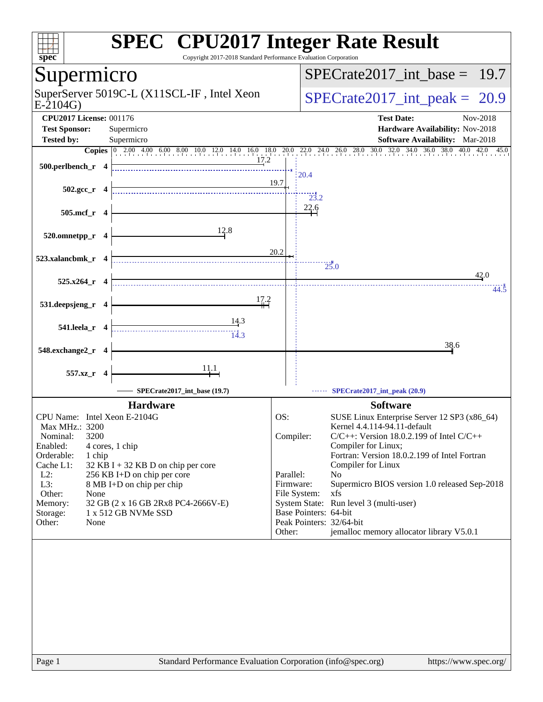| <b>SPEC<sup>®</sup> CPU2017 Integer Rate Result</b><br>Copyright 2017-2018 Standard Performance Evaluation Corporation<br>spec <sup>®</sup>                                                                              |              |                       |                                                                               |
|--------------------------------------------------------------------------------------------------------------------------------------------------------------------------------------------------------------------------|--------------|-----------------------|-------------------------------------------------------------------------------|
| Supermicro                                                                                                                                                                                                               |              |                       | $SPECrate2017$ int base = 19.7                                                |
| SuperServer 5019C-L (X11SCL-IF, Intel Xeon<br>$E-2104G$                                                                                                                                                                  |              |                       | $SPECTate2017\_int\_peak = 20.9$                                              |
| <b>CPU2017 License: 001176</b><br><b>Test Sponsor:</b><br>Supermicro                                                                                                                                                     |              |                       | <b>Test Date:</b><br>Nov-2018<br>Hardware Availability: Nov-2018              |
| <b>Tested by:</b><br>Supermicro                                                                                                                                                                                          |              |                       | <b>Software Availability:</b> Mar-2018                                        |
| <b>Copies</b> $\begin{bmatrix} 0 & 2.00 & 4.00 & 6.00 & 8.00 & 10.0 & 12.0 & 14.0 & 16.0 & 18.0 & 20.0 & 22.0 & 24.0 & 26.0 & 28.0 & 30.0 & 32.0 & 34.0 & 36.0 & 38.0 & 40.0 \end{bmatrix}$<br>17.2<br>500.perlbench_r 4 | 19.7         | 20.4                  | 42.0 45.0                                                                     |
| $502.\text{gcc}_r$ 4                                                                                                                                                                                                     |              | 23.2                  |                                                                               |
| 505.mcf_r<br>-4                                                                                                                                                                                                          |              | 22.6                  |                                                                               |
| 12.8<br>520.omnetpp_r 4                                                                                                                                                                                                  |              |                       |                                                                               |
| 523.xalancbmk_r 4                                                                                                                                                                                                        | 20.2         |                       | 25.0<br>42.0                                                                  |
| 525.x264<br>-4                                                                                                                                                                                                           |              |                       | 44.5                                                                          |
| 17.2<br>531.deepsjeng_r 4                                                                                                                                                                                                |              |                       |                                                                               |
| <u>14.3</u><br>541.leela_r 4                                                                                                                                                                                             |              |                       |                                                                               |
| 548.exchange2_r<br>-4                                                                                                                                                                                                    |              |                       | 38.6                                                                          |
| <u>11.1</u><br>557.xz_r<br>-4                                                                                                                                                                                            |              |                       |                                                                               |
| SPECrate2017_int_base (19.7)                                                                                                                                                                                             |              |                       | SPECrate2017_int_peak (20.9)                                                  |
| <b>Hardware</b>                                                                                                                                                                                                          |              |                       | <b>Software</b>                                                               |
| CPU Name: Intel Xeon E-2104G                                                                                                                                                                                             | OS:          |                       | SUSE Linux Enterprise Server 12 SP3 (x86_64)                                  |
| Max MHz.: 3200<br>3200<br>Nominal:                                                                                                                                                                                       | Compiler:    |                       | Kernel 4.4.114-94.11-default<br>$C/C++$ : Version 18.0.2.199 of Intel $C/C++$ |
| Enabled:<br>4 cores, 1 chip                                                                                                                                                                                              |              |                       | Compiler for Linux;                                                           |
| Orderable:<br>1 chip<br>Cache L1:                                                                                                                                                                                        |              |                       | Fortran: Version 18.0.2.199 of Intel Fortran<br>Compiler for Linux            |
| 32 KB I + 32 KB D on chip per core<br>$L2$ :<br>256 KB I+D on chip per core                                                                                                                                              | Parallel:    |                       | N <sub>0</sub>                                                                |
| L3:<br>8 MB I+D on chip per chip                                                                                                                                                                                         | Firmware:    |                       | Supermicro BIOS version 1.0 released Sep-2018                                 |
| Other:<br>None<br>Memory:<br>32 GB (2 x 16 GB 2Rx8 PC4-2666V-E)                                                                                                                                                          | File System: |                       | xfs<br>System State: Run level 3 (multi-user)                                 |
| 1 x 512 GB NVMe SSD<br>Storage:                                                                                                                                                                                          |              | Base Pointers: 64-bit |                                                                               |
| Other:<br>None                                                                                                                                                                                                           |              |                       | Peak Pointers: 32/64-bit                                                      |
|                                                                                                                                                                                                                          | Other:       |                       | jemalloc memory allocator library V5.0.1                                      |
|                                                                                                                                                                                                                          |              |                       |                                                                               |
| Page 1<br>Standard Performance Evaluation Corporation (info@spec.org)                                                                                                                                                    |              |                       | https://www.spec.org/                                                         |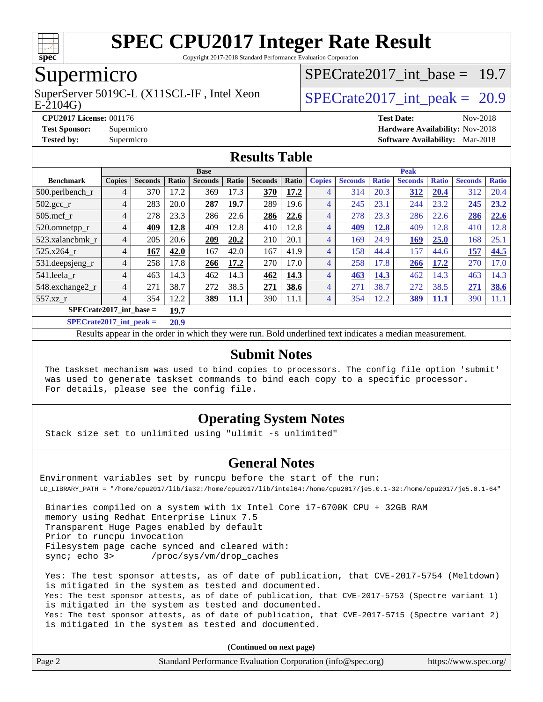

Copyright 2017-2018 Standard Performance Evaluation Corporation

### Supermicro

E-2104G) SuperServer 5019C-L (X11SCL-IF, Intel Xeon  $SPECrate2017$  int peak = 20.9

SPECrate2017 int\_base =  $19.7$ 

#### **[CPU2017 License:](http://www.spec.org/auto/cpu2017/Docs/result-fields.html#CPU2017License)** 001176 **[Test Date:](http://www.spec.org/auto/cpu2017/Docs/result-fields.html#TestDate)** Nov-2018 **[Test Sponsor:](http://www.spec.org/auto/cpu2017/Docs/result-fields.html#TestSponsor)** Supermicro **[Hardware Availability:](http://www.spec.org/auto/cpu2017/Docs/result-fields.html#HardwareAvailability)** Nov-2018 **[Tested by:](http://www.spec.org/auto/cpu2017/Docs/result-fields.html#Testedby)** Supermicro **[Software Availability:](http://www.spec.org/auto/cpu2017/Docs/result-fields.html#SoftwareAvailability)** Mar-2018

#### **[Results Table](http://www.spec.org/auto/cpu2017/Docs/result-fields.html#ResultsTable)**

|                                   | <b>Base</b>    |                |                           |                |       | <b>Peak</b>    |       |                |                |              |                |              |                |              |
|-----------------------------------|----------------|----------------|---------------------------|----------------|-------|----------------|-------|----------------|----------------|--------------|----------------|--------------|----------------|--------------|
| <b>Benchmark</b>                  | <b>Copies</b>  | <b>Seconds</b> | Ratio                     | <b>Seconds</b> | Ratio | <b>Seconds</b> | Ratio | <b>Copies</b>  | <b>Seconds</b> | <b>Ratio</b> | <b>Seconds</b> | <b>Ratio</b> | <b>Seconds</b> | <b>Ratio</b> |
| 500.perlbench_r                   | 4              | 370            | 17.2                      | 369            | 17.3  | 370            | 17.2  | 4              | 314            | 20.3         | 312            | 20.4         | 312            | 20.4         |
| $502.\text{gcc}$ <sub>r</sub>     | 4              | 283            | 20.0                      | 287            | 19.7  | 289            | 19.6  | 4              | 245            | 23.1         | 244            | 23.2         | 245            | 23.2         |
| $505$ .mcf r                      | 4              | 278            | 23.3                      | 286            | 22.6  | 286            | 22.6  | 4              | 278            | 23.3         | 286            | 22.6         | 286            | 22.6         |
| 520.omnetpp_r                     | 4              | 409            | 12.8                      | 409            | 12.8  | 410            | 12.8  | 4              | 409            | 12.8         | 409            | 12.8         | 410            | 12.8         |
| 523.xalancbmk r                   | 4              | 205            | 20.6                      | 209            | 20.2  | 210            | 20.1  | 4              | 169            | 24.9         | 169            | 25.0         | 168            | 25.1         |
| 525.x264 r                        | $\overline{4}$ | 167            | 42.0                      | 167            | 42.0  | 167            | 41.9  | $\overline{4}$ | 158            | 44.4         | 157            | 44.6         | 157            | 44.5         |
| 531.deepsjeng_r                   | 4              | 258            | 17.8                      | 266            | 17.2  | 270            | 17.0  | 4              | 258            | 17.8         | 266            | 17.2         | 270            | 17.0         |
| 541.leela r                       | 4              | 463            | 14.3                      | 462            | 14.3  | 462            | 14.3  | 4              | 463            | 14.3         | 462            | 14.3         | 463            | 14.3         |
| 548.exchange2_r                   | $\overline{4}$ | 271            | 38.7                      | 272            | 38.5  | 271            | 38.6  | $\overline{4}$ | 271            | 38.7         | 272            | 38.5         | 271            | 38.6         |
| 557.xz r                          | $\overline{4}$ | 354            | 12.2                      | 389            | 11.1  | 390            | 11.1  | 4              | 354            | 12.2         | 389            | 11.1         | 390            | 11.1         |
| $SPECrate2017$ int base =<br>19.7 |                |                |                           |                |       |                |       |                |                |              |                |              |                |              |
| $CDFAC = 1.2047 + 1.1$            |                |                | $\mathbf{A}$ $\mathbf{A}$ |                |       |                |       |                |                |              |                |              |                |              |

**[SPECrate2017\\_int\\_peak =](http://www.spec.org/auto/cpu2017/Docs/result-fields.html#SPECrate2017intpeak) 20.9**

Results appear in the [order in which they were run](http://www.spec.org/auto/cpu2017/Docs/result-fields.html#RunOrder). Bold underlined text [indicates a median measurement](http://www.spec.org/auto/cpu2017/Docs/result-fields.html#Median).

#### **[Submit Notes](http://www.spec.org/auto/cpu2017/Docs/result-fields.html#SubmitNotes)**

 The taskset mechanism was used to bind copies to processors. The config file option 'submit' was used to generate taskset commands to bind each copy to a specific processor. For details, please see the config file.

#### **[Operating System Notes](http://www.spec.org/auto/cpu2017/Docs/result-fields.html#OperatingSystemNotes)**

Stack size set to unlimited using "ulimit -s unlimited"

#### **[General Notes](http://www.spec.org/auto/cpu2017/Docs/result-fields.html#GeneralNotes)**

Environment variables set by runcpu before the start of the run: LD\_LIBRARY\_PATH = "/home/cpu2017/lib/ia32:/home/cpu2017/lib/intel64:/home/cpu2017/je5.0.1-32:/home/cpu2017/je5.0.1-64"

 Binaries compiled on a system with 1x Intel Core i7-6700K CPU + 32GB RAM memory using Redhat Enterprise Linux 7.5 Transparent Huge Pages enabled by default Prior to runcpu invocation Filesystem page cache synced and cleared with: sync; echo 3> /proc/sys/vm/drop\_caches

 Yes: The test sponsor attests, as of date of publication, that CVE-2017-5754 (Meltdown) is mitigated in the system as tested and documented. Yes: The test sponsor attests, as of date of publication, that CVE-2017-5753 (Spectre variant 1) is mitigated in the system as tested and documented. Yes: The test sponsor attests, as of date of publication, that CVE-2017-5715 (Spectre variant 2) is mitigated in the system as tested and documented.

**(Continued on next page)**

| Page 2 | Standard Performance Evaluation Corporation (info@spec.org) | https://www.spec.org/ |
|--------|-------------------------------------------------------------|-----------------------|
|--------|-------------------------------------------------------------|-----------------------|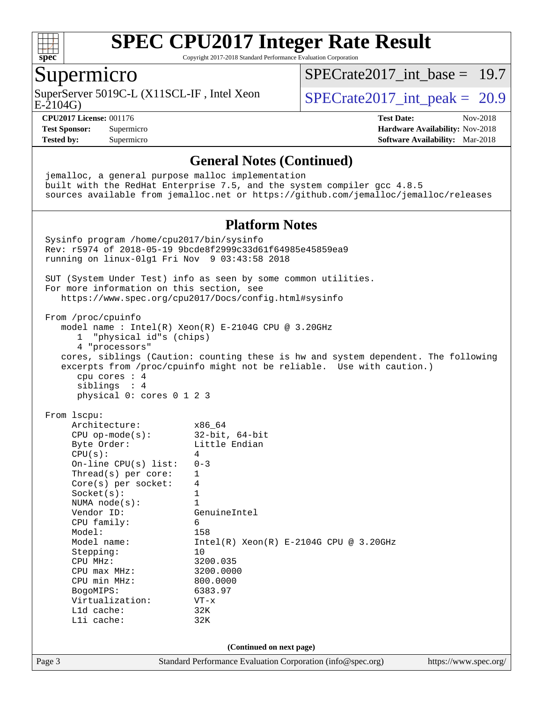

Copyright 2017-2018 Standard Performance Evaluation Corporation

### Supermicro

E-2104G) SuperServer 5019C-L (X11SCL-IF, Intel Xeon  $SPECrate2017$  int peak = 20.9

SPECrate2017 int\_base =  $19.7$ 

**[CPU2017 License:](http://www.spec.org/auto/cpu2017/Docs/result-fields.html#CPU2017License)** 001176 **[Test Date:](http://www.spec.org/auto/cpu2017/Docs/result-fields.html#TestDate)** Nov-2018 **[Test Sponsor:](http://www.spec.org/auto/cpu2017/Docs/result-fields.html#TestSponsor)** Supermicro **[Hardware Availability:](http://www.spec.org/auto/cpu2017/Docs/result-fields.html#HardwareAvailability)** Nov-2018 **[Tested by:](http://www.spec.org/auto/cpu2017/Docs/result-fields.html#Testedby)** Supermicro **[Software Availability:](http://www.spec.org/auto/cpu2017/Docs/result-fields.html#SoftwareAvailability)** Mar-2018

#### **[General Notes \(Continued\)](http://www.spec.org/auto/cpu2017/Docs/result-fields.html#GeneralNotes)**

 jemalloc, a general purpose malloc implementation built with the RedHat Enterprise 7.5, and the system compiler gcc 4.8.5 sources available from jemalloc.net or <https://github.com/jemalloc/jemalloc/releases> **[Platform Notes](http://www.spec.org/auto/cpu2017/Docs/result-fields.html#PlatformNotes)**

Page 3 Standard Performance Evaluation Corporation [\(info@spec.org\)](mailto:info@spec.org) <https://www.spec.org/> Sysinfo program /home/cpu2017/bin/sysinfo Rev: r5974 of 2018-05-19 9bcde8f2999c33d61f64985e45859ea9 running on linux-0lg1 Fri Nov 9 03:43:58 2018 SUT (System Under Test) info as seen by some common utilities. For more information on this section, see <https://www.spec.org/cpu2017/Docs/config.html#sysinfo> From /proc/cpuinfo model name : Intel(R) Xeon(R) E-2104G CPU @ 3.20GHz 1 "physical id"s (chips) 4 "processors" cores, siblings (Caution: counting these is hw and system dependent. The following excerpts from /proc/cpuinfo might not be reliable. Use with caution.) cpu cores : 4 siblings : 4 physical 0: cores 0 1 2 3 From lscpu: Architecture: x86\_64 CPU op-mode(s): 32-bit, 64-bit Byte Order: Little Endian  $CPU(s):$  4 On-line CPU(s) list: 0-3 Thread(s) per core: 1 Core(s) per socket: 4 Socket(s): 1 NUMA node(s): 1<br>Vendor ID: Ge GenuineIntel CPU family: 6 Model: 158 Model name: Intel(R) Xeon(R) E-2104G CPU @ 3.20GHz Stepping: 10 CPU MHz: 3200.035<br>
CPU max MHz: 3200.0000  $CPU$  max  $MHz$ : CPU min MHz: 800.0000 BogoMIPS: 6383.97 Virtualization: VT-x L1d cache: 32K L1i cache: 32K **(Continued on next page)**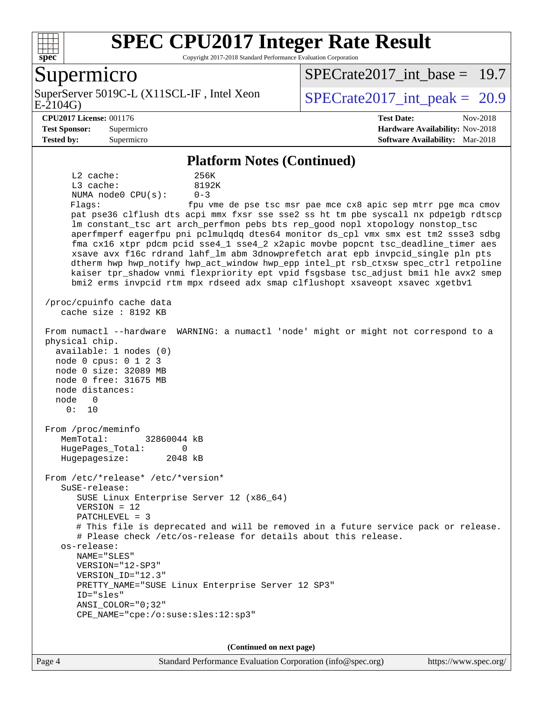

Copyright 2017-2018 Standard Performance Evaluation Corporation

### Supermicro

SuperServer 5019C-L (X11SCL-IF, Intel Xeon<br>E-2104G)

[SPECrate2017\\_int\\_base =](http://www.spec.org/auto/cpu2017/Docs/result-fields.html#SPECrate2017intbase) 19.7

SPECrate  $2017$  int peak = 20.9

#### **[CPU2017 License:](http://www.spec.org/auto/cpu2017/Docs/result-fields.html#CPU2017License)** 001176 **[Test Date:](http://www.spec.org/auto/cpu2017/Docs/result-fields.html#TestDate)** Nov-2018

**[Test Sponsor:](http://www.spec.org/auto/cpu2017/Docs/result-fields.html#TestSponsor)** Supermicro **[Hardware Availability:](http://www.spec.org/auto/cpu2017/Docs/result-fields.html#HardwareAvailability)** Nov-2018 **[Tested by:](http://www.spec.org/auto/cpu2017/Docs/result-fields.html#Testedby)** Supermicro **[Software Availability:](http://www.spec.org/auto/cpu2017/Docs/result-fields.html#SoftwareAvailability)** Mar-2018

#### **[Platform Notes \(Continued\)](http://www.spec.org/auto/cpu2017/Docs/result-fields.html#PlatformNotes)**

 L2 cache: 256K L3 cache: 8192K NUMA node0 CPU(s): 0-3 Flags: fpu vme de pse tsc msr pae mce cx8 apic sep mtrr pge mca cmov pat pse36 clflush dts acpi mmx fxsr sse sse2 ss ht tm pbe syscall nx pdpe1gb rdtscp lm constant\_tsc art arch\_perfmon pebs bts rep\_good nopl xtopology nonstop\_tsc aperfmperf eagerfpu pni pclmulqdq dtes64 monitor ds\_cpl vmx smx est tm2 ssse3 sdbg fma cx16 xtpr pdcm pcid sse4\_1 sse4\_2 x2apic movbe popcnt tsc\_deadline\_timer aes xsave avx f16c rdrand lahf\_lm abm 3dnowprefetch arat epb invpcid\_single pln pts dtherm hwp hwp\_notify hwp\_act\_window hwp\_epp intel\_pt rsb\_ctxsw spec\_ctrl retpoline kaiser tpr\_shadow vnmi flexpriority ept vpid fsgsbase tsc\_adjust bmi1 hle avx2 smep bmi2 erms invpcid rtm mpx rdseed adx smap clflushopt xsaveopt xsavec xgetbv1 /proc/cpuinfo cache data cache size : 8192 KB From numactl --hardware WARNING: a numactl 'node' might or might not correspond to a physical chip. available: 1 nodes (0) node 0 cpus: 0 1 2 3 node 0 size: 32089 MB node 0 free: 31675 MB node distances: node 0 0: 10 From /proc/meminfo MemTotal: 32860044 kB HugePages\_Total: 0 Hugepagesize: 2048 kB From /etc/\*release\* /etc/\*version\* SuSE-release: SUSE Linux Enterprise Server 12 (x86\_64) VERSION = 12 PATCHLEVEL = 3 # This file is deprecated and will be removed in a future service pack or release. # Please check /etc/os-release for details about this release. os-release: NAME="SLES" VERSION="12-SP3" VERSION\_ID="12.3" PRETTY\_NAME="SUSE Linux Enterprise Server 12 SP3" ID="sles" ANSI\_COLOR="0;32" CPE\_NAME="cpe:/o:suse:sles:12:sp3"

**(Continued on next page)**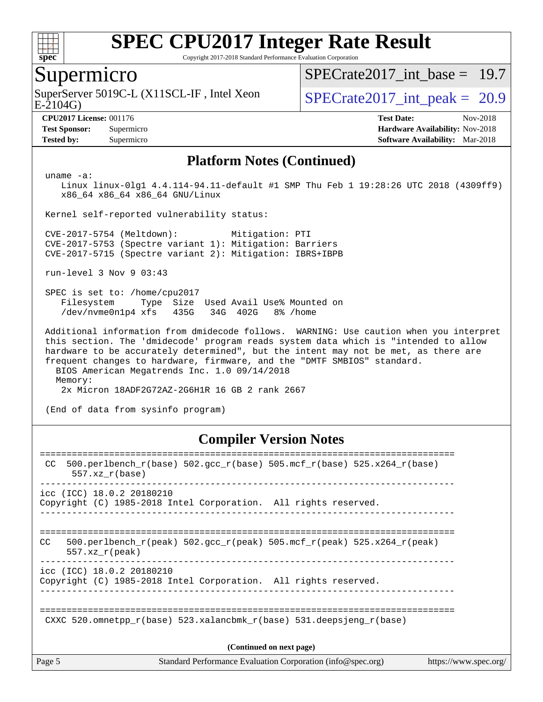

Copyright 2017-2018 Standard Performance Evaluation Corporation

### Supermicro

E-2104G) SuperServer 5019C-L (X11SCL-IF, Intel Xeon  $SPECrate2017$  int peak = 20.9

SPECrate2017 int\_base =  $19.7$ 

**[CPU2017 License:](http://www.spec.org/auto/cpu2017/Docs/result-fields.html#CPU2017License)** 001176 **[Test Date:](http://www.spec.org/auto/cpu2017/Docs/result-fields.html#TestDate)** Nov-2018 **[Test Sponsor:](http://www.spec.org/auto/cpu2017/Docs/result-fields.html#TestSponsor)** Supermicro **[Hardware Availability:](http://www.spec.org/auto/cpu2017/Docs/result-fields.html#HardwareAvailability)** Nov-2018 **[Tested by:](http://www.spec.org/auto/cpu2017/Docs/result-fields.html#Testedby)** Supermicro **[Software Availability:](http://www.spec.org/auto/cpu2017/Docs/result-fields.html#SoftwareAvailability)** Mar-2018

#### **[Platform Notes \(Continued\)](http://www.spec.org/auto/cpu2017/Docs/result-fields.html#PlatformNotes)**

uname -a:

 Linux linux-0lg1 4.4.114-94.11-default #1 SMP Thu Feb 1 19:28:26 UTC 2018 (4309ff9) x86\_64 x86\_64 x86\_64 GNU/Linux

Kernel self-reported vulnerability status:

 CVE-2017-5754 (Meltdown): Mitigation: PTI CVE-2017-5753 (Spectre variant 1): Mitigation: Barriers CVE-2017-5715 (Spectre variant 2): Mitigation: IBRS+IBPB

run-level 3 Nov 9 03:43

 SPEC is set to: /home/cpu2017 Filesystem Type Size Used Avail Use% Mounted on /dev/nvme0n1p4 xfs 435G 34G 402G 8% /home

 Additional information from dmidecode follows. WARNING: Use caution when you interpret this section. The 'dmidecode' program reads system data which is "intended to allow hardware to be accurately determined", but the intent may not be met, as there are frequent changes to hardware, firmware, and the "DMTF SMBIOS" standard. BIOS American Megatrends Inc. 1.0 09/14/2018 Memory:

2x Micron 18ADF2G72AZ-2G6H1R 16 GB 2 rank 2667

(End of data from sysinfo program)

#### **[Compiler Version Notes](http://www.spec.org/auto/cpu2017/Docs/result-fields.html#CompilerVersionNotes)**

| Page 5 |                           | Standard Performance Evaluation Corporation (info@spec.org)                | https://www.spec.org/ |
|--------|---------------------------|----------------------------------------------------------------------------|-----------------------|
|        |                           | (Continued on next page)                                                   |                       |
|        |                           | CXXC 520.omnetpp $r(base)$ 523.xalancbmk $r(base)$ 531.deepsjeng $r(base)$ |                       |
|        | icc (ICC) 18.0.2 20180210 | Copyright (C) 1985-2018 Intel Corporation. All rights reserved.            |                       |
| CC.    | $557.xx$ r(peak)          | 500.perlbench r(peak) 502.qcc r(peak) 505.mcf r(peak) 525.x264 r(peak)     |                       |
|        | icc (ICC) 18.0.2 20180210 | Copyright (C) 1985-2018 Intel Corporation. All rights reserved.            |                       |
| CC.    | $557.xx$ $r(base)$        | 500.perlbench_r(base) 502.gcc_r(base) 505.mcf_r(base) 525.x264_r(base)     |                       |
|        |                           |                                                                            |                       |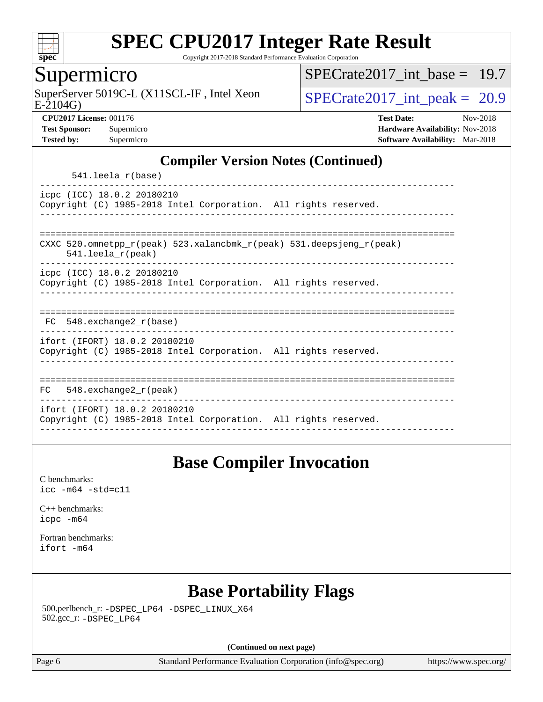

Copyright 2017-2018 Standard Performance Evaluation Corporation

### Supermicro

E-2104G) SuperServer 5019C-L (X11SCL-IF, Intel Xeon  $SPECrate2017$  int peak = 20.9

SPECrate2017 int\_base =  $19.7$ 

**[CPU2017 License:](http://www.spec.org/auto/cpu2017/Docs/result-fields.html#CPU2017License)** 001176 **[Test Date:](http://www.spec.org/auto/cpu2017/Docs/result-fields.html#TestDate)** Nov-2018 **[Test Sponsor:](http://www.spec.org/auto/cpu2017/Docs/result-fields.html#TestSponsor)** Supermicro **[Hardware Availability:](http://www.spec.org/auto/cpu2017/Docs/result-fields.html#HardwareAvailability)** Nov-2018 **[Tested by:](http://www.spec.org/auto/cpu2017/Docs/result-fields.html#Testedby)** Supermicro **[Software Availability:](http://www.spec.org/auto/cpu2017/Docs/result-fields.html#SoftwareAvailability)** Mar-2018

#### **[Compiler Version Notes \(Continued\)](http://www.spec.org/auto/cpu2017/Docs/result-fields.html#CompilerVersionNotes)**

541.leela\_r(base)

----------------------------------------------------------------------------- icpc (ICC) 18.0.2 20180210 Copyright (C) 1985-2018 Intel Corporation. All rights reserved. ------------------------------------------------------------------------------

============================================================================== CXXC 520.omnetpp\_r(peak) 523.xalancbmk\_r(peak) 531.deepsjeng\_r(peak)

541.leela\_r(peak)

----------------------------------------------------------------------------- icpc (ICC) 18.0.2 20180210

Copyright (C) 1985-2018 Intel Corporation. All rights reserved. ------------------------------------------------------------------------------

| $F^{\prime}$ | 548.exchange2_r(base) |  |  |  |
|--------------|-----------------------|--|--|--|

----------------------------------------------------------------------------- ifort (IFORT) 18.0.2 20180210

Copyright (C) 1985-2018 Intel Corporation. All rights reserved. ------------------------------------------------------------------------------

============================================================================== FC 548.exchange2\_r(peak) ----------------------------------------------------------------------------- ifort (IFORT) 18.0.2 20180210 Copyright (C) 1985-2018 Intel Corporation. All rights reserved. ------------------------------------------------------------------------------

## **[Base Compiler Invocation](http://www.spec.org/auto/cpu2017/Docs/result-fields.html#BaseCompilerInvocation)**

[C benchmarks](http://www.spec.org/auto/cpu2017/Docs/result-fields.html#Cbenchmarks): [icc -m64 -std=c11](http://www.spec.org/cpu2017/results/res2018q4/cpu2017-20181112-09565.flags.html#user_CCbase_intel_icc_64bit_c11_33ee0cdaae7deeeab2a9725423ba97205ce30f63b9926c2519791662299b76a0318f32ddfffdc46587804de3178b4f9328c46fa7c2b0cd779d7a61945c91cd35)

[C++ benchmarks:](http://www.spec.org/auto/cpu2017/Docs/result-fields.html#CXXbenchmarks) [icpc -m64](http://www.spec.org/cpu2017/results/res2018q4/cpu2017-20181112-09565.flags.html#user_CXXbase_intel_icpc_64bit_4ecb2543ae3f1412ef961e0650ca070fec7b7afdcd6ed48761b84423119d1bf6bdf5cad15b44d48e7256388bc77273b966e5eb805aefd121eb22e9299b2ec9d9)

[Fortran benchmarks](http://www.spec.org/auto/cpu2017/Docs/result-fields.html#Fortranbenchmarks): [ifort -m64](http://www.spec.org/cpu2017/results/res2018q4/cpu2017-20181112-09565.flags.html#user_FCbase_intel_ifort_64bit_24f2bb282fbaeffd6157abe4f878425411749daecae9a33200eee2bee2fe76f3b89351d69a8130dd5949958ce389cf37ff59a95e7a40d588e8d3a57e0c3fd751)

## **[Base Portability Flags](http://www.spec.org/auto/cpu2017/Docs/result-fields.html#BasePortabilityFlags)**

 500.perlbench\_r: [-DSPEC\\_LP64](http://www.spec.org/cpu2017/results/res2018q4/cpu2017-20181112-09565.flags.html#b500.perlbench_r_basePORTABILITY_DSPEC_LP64) [-DSPEC\\_LINUX\\_X64](http://www.spec.org/cpu2017/results/res2018q4/cpu2017-20181112-09565.flags.html#b500.perlbench_r_baseCPORTABILITY_DSPEC_LINUX_X64) 502.gcc\_r: [-DSPEC\\_LP64](http://www.spec.org/cpu2017/results/res2018q4/cpu2017-20181112-09565.flags.html#suite_basePORTABILITY502_gcc_r_DSPEC_LP64)

**(Continued on next page)**

Page 6 Standard Performance Evaluation Corporation [\(info@spec.org\)](mailto:info@spec.org) <https://www.spec.org/>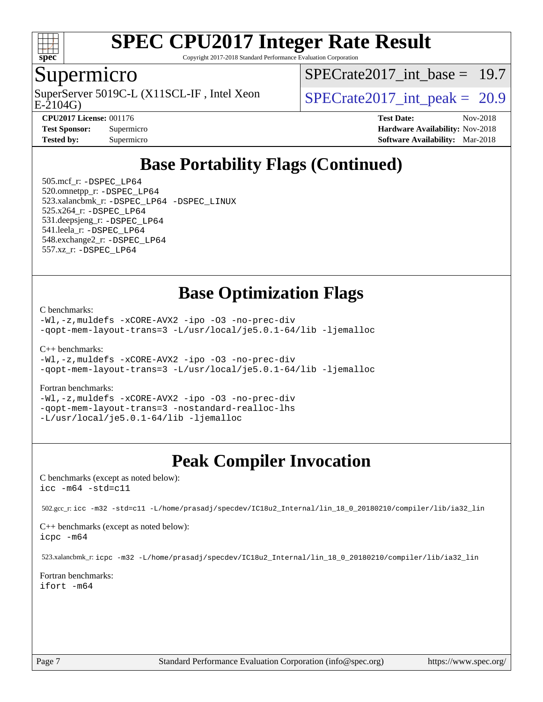

Copyright 2017-2018 Standard Performance Evaluation Corporation

### Supermicro

SuperServer 5019C-L (X11SCL-IF, Intel Xeon<br>E-2104G)

SPECrate2017 int\_base =  $19.7$ 

SPECrate  $2017$  int peak = 20.9

**[CPU2017 License:](http://www.spec.org/auto/cpu2017/Docs/result-fields.html#CPU2017License)** 001176 **[Test Date:](http://www.spec.org/auto/cpu2017/Docs/result-fields.html#TestDate)** Nov-2018 **[Test Sponsor:](http://www.spec.org/auto/cpu2017/Docs/result-fields.html#TestSponsor)** Supermicro **[Hardware Availability:](http://www.spec.org/auto/cpu2017/Docs/result-fields.html#HardwareAvailability)** Nov-2018 **[Tested by:](http://www.spec.org/auto/cpu2017/Docs/result-fields.html#Testedby)** Supermicro **[Software Availability:](http://www.spec.org/auto/cpu2017/Docs/result-fields.html#SoftwareAvailability)** Mar-2018

## **[Base Portability Flags \(Continued\)](http://www.spec.org/auto/cpu2017/Docs/result-fields.html#BasePortabilityFlags)**

 505.mcf\_r: [-DSPEC\\_LP64](http://www.spec.org/cpu2017/results/res2018q4/cpu2017-20181112-09565.flags.html#suite_basePORTABILITY505_mcf_r_DSPEC_LP64) 520.omnetpp\_r: [-DSPEC\\_LP64](http://www.spec.org/cpu2017/results/res2018q4/cpu2017-20181112-09565.flags.html#suite_basePORTABILITY520_omnetpp_r_DSPEC_LP64) 523.xalancbmk\_r: [-DSPEC\\_LP64](http://www.spec.org/cpu2017/results/res2018q4/cpu2017-20181112-09565.flags.html#suite_basePORTABILITY523_xalancbmk_r_DSPEC_LP64) [-DSPEC\\_LINUX](http://www.spec.org/cpu2017/results/res2018q4/cpu2017-20181112-09565.flags.html#b523.xalancbmk_r_baseCXXPORTABILITY_DSPEC_LINUX) 525.x264\_r: [-DSPEC\\_LP64](http://www.spec.org/cpu2017/results/res2018q4/cpu2017-20181112-09565.flags.html#suite_basePORTABILITY525_x264_r_DSPEC_LP64) 531.deepsjeng\_r: [-DSPEC\\_LP64](http://www.spec.org/cpu2017/results/res2018q4/cpu2017-20181112-09565.flags.html#suite_basePORTABILITY531_deepsjeng_r_DSPEC_LP64) 541.leela\_r: [-DSPEC\\_LP64](http://www.spec.org/cpu2017/results/res2018q4/cpu2017-20181112-09565.flags.html#suite_basePORTABILITY541_leela_r_DSPEC_LP64) 548.exchange2\_r: [-DSPEC\\_LP64](http://www.spec.org/cpu2017/results/res2018q4/cpu2017-20181112-09565.flags.html#suite_basePORTABILITY548_exchange2_r_DSPEC_LP64) 557.xz\_r: [-DSPEC\\_LP64](http://www.spec.org/cpu2017/results/res2018q4/cpu2017-20181112-09565.flags.html#suite_basePORTABILITY557_xz_r_DSPEC_LP64)

### **[Base Optimization Flags](http://www.spec.org/auto/cpu2017/Docs/result-fields.html#BaseOptimizationFlags)**

[C benchmarks](http://www.spec.org/auto/cpu2017/Docs/result-fields.html#Cbenchmarks):

[-Wl,-z,muldefs](http://www.spec.org/cpu2017/results/res2018q4/cpu2017-20181112-09565.flags.html#user_CCbase_link_force_multiple1_b4cbdb97b34bdee9ceefcfe54f4c8ea74255f0b02a4b23e853cdb0e18eb4525ac79b5a88067c842dd0ee6996c24547a27a4b99331201badda8798ef8a743f577) [-xCORE-AVX2](http://www.spec.org/cpu2017/results/res2018q4/cpu2017-20181112-09565.flags.html#user_CCbase_f-xCORE-AVX2) [-ipo](http://www.spec.org/cpu2017/results/res2018q4/cpu2017-20181112-09565.flags.html#user_CCbase_f-ipo) [-O3](http://www.spec.org/cpu2017/results/res2018q4/cpu2017-20181112-09565.flags.html#user_CCbase_f-O3) [-no-prec-div](http://www.spec.org/cpu2017/results/res2018q4/cpu2017-20181112-09565.flags.html#user_CCbase_f-no-prec-div) [-qopt-mem-layout-trans=3](http://www.spec.org/cpu2017/results/res2018q4/cpu2017-20181112-09565.flags.html#user_CCbase_f-qopt-mem-layout-trans_de80db37974c74b1f0e20d883f0b675c88c3b01e9d123adea9b28688d64333345fb62bc4a798493513fdb68f60282f9a726aa07f478b2f7113531aecce732043) [-L/usr/local/je5.0.1-64/lib](http://www.spec.org/cpu2017/results/res2018q4/cpu2017-20181112-09565.flags.html#user_CCbase_jemalloc_link_path64_4b10a636b7bce113509b17f3bd0d6226c5fb2346b9178c2d0232c14f04ab830f976640479e5c33dc2bcbbdad86ecfb6634cbbd4418746f06f368b512fced5394) [-ljemalloc](http://www.spec.org/cpu2017/results/res2018q4/cpu2017-20181112-09565.flags.html#user_CCbase_jemalloc_link_lib_d1249b907c500fa1c0672f44f562e3d0f79738ae9e3c4a9c376d49f265a04b9c99b167ecedbf6711b3085be911c67ff61f150a17b3472be731631ba4d0471706)

[C++ benchmarks:](http://www.spec.org/auto/cpu2017/Docs/result-fields.html#CXXbenchmarks)

[-Wl,-z,muldefs](http://www.spec.org/cpu2017/results/res2018q4/cpu2017-20181112-09565.flags.html#user_CXXbase_link_force_multiple1_b4cbdb97b34bdee9ceefcfe54f4c8ea74255f0b02a4b23e853cdb0e18eb4525ac79b5a88067c842dd0ee6996c24547a27a4b99331201badda8798ef8a743f577) [-xCORE-AVX2](http://www.spec.org/cpu2017/results/res2018q4/cpu2017-20181112-09565.flags.html#user_CXXbase_f-xCORE-AVX2) [-ipo](http://www.spec.org/cpu2017/results/res2018q4/cpu2017-20181112-09565.flags.html#user_CXXbase_f-ipo) [-O3](http://www.spec.org/cpu2017/results/res2018q4/cpu2017-20181112-09565.flags.html#user_CXXbase_f-O3) [-no-prec-div](http://www.spec.org/cpu2017/results/res2018q4/cpu2017-20181112-09565.flags.html#user_CXXbase_f-no-prec-div) [-qopt-mem-layout-trans=3](http://www.spec.org/cpu2017/results/res2018q4/cpu2017-20181112-09565.flags.html#user_CXXbase_f-qopt-mem-layout-trans_de80db37974c74b1f0e20d883f0b675c88c3b01e9d123adea9b28688d64333345fb62bc4a798493513fdb68f60282f9a726aa07f478b2f7113531aecce732043) [-L/usr/local/je5.0.1-64/lib](http://www.spec.org/cpu2017/results/res2018q4/cpu2017-20181112-09565.flags.html#user_CXXbase_jemalloc_link_path64_4b10a636b7bce113509b17f3bd0d6226c5fb2346b9178c2d0232c14f04ab830f976640479e5c33dc2bcbbdad86ecfb6634cbbd4418746f06f368b512fced5394) [-ljemalloc](http://www.spec.org/cpu2017/results/res2018q4/cpu2017-20181112-09565.flags.html#user_CXXbase_jemalloc_link_lib_d1249b907c500fa1c0672f44f562e3d0f79738ae9e3c4a9c376d49f265a04b9c99b167ecedbf6711b3085be911c67ff61f150a17b3472be731631ba4d0471706)

#### [Fortran benchmarks](http://www.spec.org/auto/cpu2017/Docs/result-fields.html#Fortranbenchmarks):

[-Wl,-z,muldefs](http://www.spec.org/cpu2017/results/res2018q4/cpu2017-20181112-09565.flags.html#user_FCbase_link_force_multiple1_b4cbdb97b34bdee9ceefcfe54f4c8ea74255f0b02a4b23e853cdb0e18eb4525ac79b5a88067c842dd0ee6996c24547a27a4b99331201badda8798ef8a743f577) [-xCORE-AVX2](http://www.spec.org/cpu2017/results/res2018q4/cpu2017-20181112-09565.flags.html#user_FCbase_f-xCORE-AVX2) [-ipo](http://www.spec.org/cpu2017/results/res2018q4/cpu2017-20181112-09565.flags.html#user_FCbase_f-ipo) [-O3](http://www.spec.org/cpu2017/results/res2018q4/cpu2017-20181112-09565.flags.html#user_FCbase_f-O3) [-no-prec-div](http://www.spec.org/cpu2017/results/res2018q4/cpu2017-20181112-09565.flags.html#user_FCbase_f-no-prec-div) [-qopt-mem-layout-trans=3](http://www.spec.org/cpu2017/results/res2018q4/cpu2017-20181112-09565.flags.html#user_FCbase_f-qopt-mem-layout-trans_de80db37974c74b1f0e20d883f0b675c88c3b01e9d123adea9b28688d64333345fb62bc4a798493513fdb68f60282f9a726aa07f478b2f7113531aecce732043) [-nostandard-realloc-lhs](http://www.spec.org/cpu2017/results/res2018q4/cpu2017-20181112-09565.flags.html#user_FCbase_f_2003_std_realloc_82b4557e90729c0f113870c07e44d33d6f5a304b4f63d4c15d2d0f1fab99f5daaed73bdb9275d9ae411527f28b936061aa8b9c8f2d63842963b95c9dd6426b8a) [-L/usr/local/je5.0.1-64/lib](http://www.spec.org/cpu2017/results/res2018q4/cpu2017-20181112-09565.flags.html#user_FCbase_jemalloc_link_path64_4b10a636b7bce113509b17f3bd0d6226c5fb2346b9178c2d0232c14f04ab830f976640479e5c33dc2bcbbdad86ecfb6634cbbd4418746f06f368b512fced5394) [-ljemalloc](http://www.spec.org/cpu2017/results/res2018q4/cpu2017-20181112-09565.flags.html#user_FCbase_jemalloc_link_lib_d1249b907c500fa1c0672f44f562e3d0f79738ae9e3c4a9c376d49f265a04b9c99b167ecedbf6711b3085be911c67ff61f150a17b3472be731631ba4d0471706)

## **[Peak Compiler Invocation](http://www.spec.org/auto/cpu2017/Docs/result-fields.html#PeakCompilerInvocation)**

[C benchmarks \(except as noted below\)](http://www.spec.org/auto/cpu2017/Docs/result-fields.html#Cbenchmarksexceptasnotedbelow): [icc -m64 -std=c11](http://www.spec.org/cpu2017/results/res2018q4/cpu2017-20181112-09565.flags.html#user_CCpeak_intel_icc_64bit_c11_33ee0cdaae7deeeab2a9725423ba97205ce30f63b9926c2519791662299b76a0318f32ddfffdc46587804de3178b4f9328c46fa7c2b0cd779d7a61945c91cd35)

502.gcc\_r: [icc -m32 -std=c11 -L/home/prasadj/specdev/IC18u2\\_Internal/lin\\_18\\_0\\_20180210/compiler/lib/ia32\\_lin](http://www.spec.org/cpu2017/results/res2018q4/cpu2017-20181112-09565.flags.html#user_peakCCLD502_gcc_r_intel_icc_a481ac844e7127046fad14d498c730a1848fa901fbbb2c3dfdd5e9fbbac777c8009953946d55d8b6afe8ed0da70dd2b4f8dedbdf7ab1ee211ba70d24a5d89f85)

[C++ benchmarks \(except as noted below\):](http://www.spec.org/auto/cpu2017/Docs/result-fields.html#CXXbenchmarksexceptasnotedbelow) [icpc -m64](http://www.spec.org/cpu2017/results/res2018q4/cpu2017-20181112-09565.flags.html#user_CXXpeak_intel_icpc_64bit_4ecb2543ae3f1412ef961e0650ca070fec7b7afdcd6ed48761b84423119d1bf6bdf5cad15b44d48e7256388bc77273b966e5eb805aefd121eb22e9299b2ec9d9)

523.xalancbmk\_r: [icpc -m32 -L/home/prasadj/specdev/IC18u2\\_Internal/lin\\_18\\_0\\_20180210/compiler/lib/ia32\\_lin](http://www.spec.org/cpu2017/results/res2018q4/cpu2017-20181112-09565.flags.html#user_peakCXXLD523_xalancbmk_r_intel_icpc_c6d030cd79af6ea7d6fb64c57e8fe7ae8fe0b96fc5a3b3f4a10e3273b3d7fa9decd8263f6330cef23f751cb093a69fae84a2bf4c243500a8eed069248128076f)

[Fortran benchmarks](http://www.spec.org/auto/cpu2017/Docs/result-fields.html#Fortranbenchmarks): [ifort -m64](http://www.spec.org/cpu2017/results/res2018q4/cpu2017-20181112-09565.flags.html#user_FCpeak_intel_ifort_64bit_24f2bb282fbaeffd6157abe4f878425411749daecae9a33200eee2bee2fe76f3b89351d69a8130dd5949958ce389cf37ff59a95e7a40d588e8d3a57e0c3fd751)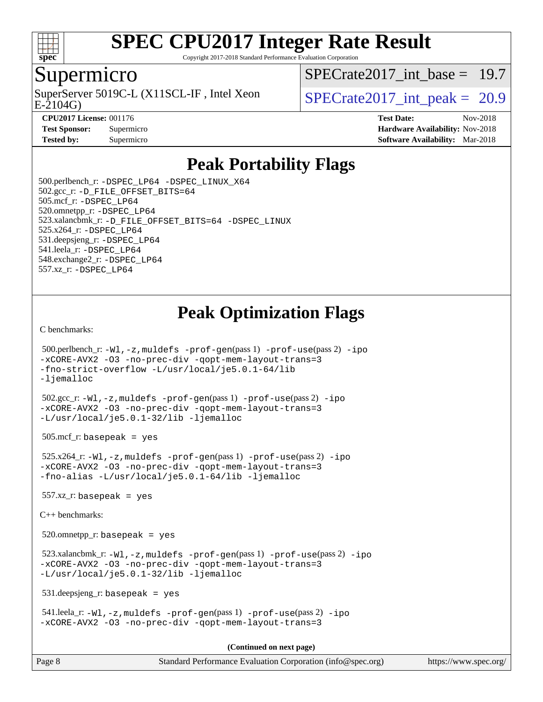

Copyright 2017-2018 Standard Performance Evaluation Corporation

### Supermicro

E-2104G) SuperServer 5019C-L (X11SCL-IF, Intel Xeon  $SPECrate2017$  int peak = 20.9

SPECrate2017 int\_base =  $19.7$ 

**[CPU2017 License:](http://www.spec.org/auto/cpu2017/Docs/result-fields.html#CPU2017License)** 001176 **[Test Date:](http://www.spec.org/auto/cpu2017/Docs/result-fields.html#TestDate)** Nov-2018 **[Test Sponsor:](http://www.spec.org/auto/cpu2017/Docs/result-fields.html#TestSponsor)** Supermicro **[Hardware Availability:](http://www.spec.org/auto/cpu2017/Docs/result-fields.html#HardwareAvailability)** Nov-2018 **[Tested by:](http://www.spec.org/auto/cpu2017/Docs/result-fields.html#Testedby)** Supermicro **Supermicro [Software Availability:](http://www.spec.org/auto/cpu2017/Docs/result-fields.html#SoftwareAvailability)** Mar-2018

## **[Peak Portability Flags](http://www.spec.org/auto/cpu2017/Docs/result-fields.html#PeakPortabilityFlags)**

 500.perlbench\_r: [-DSPEC\\_LP64](http://www.spec.org/cpu2017/results/res2018q4/cpu2017-20181112-09565.flags.html#b500.perlbench_r_peakPORTABILITY_DSPEC_LP64) [-DSPEC\\_LINUX\\_X64](http://www.spec.org/cpu2017/results/res2018q4/cpu2017-20181112-09565.flags.html#b500.perlbench_r_peakCPORTABILITY_DSPEC_LINUX_X64) 502.gcc\_r: [-D\\_FILE\\_OFFSET\\_BITS=64](http://www.spec.org/cpu2017/results/res2018q4/cpu2017-20181112-09565.flags.html#user_peakPORTABILITY502_gcc_r_file_offset_bits_64_5ae949a99b284ddf4e95728d47cb0843d81b2eb0e18bdfe74bbf0f61d0b064f4bda2f10ea5eb90e1dcab0e84dbc592acfc5018bc955c18609f94ddb8d550002c) 505.mcf\_r: [-DSPEC\\_LP64](http://www.spec.org/cpu2017/results/res2018q4/cpu2017-20181112-09565.flags.html#suite_peakPORTABILITY505_mcf_r_DSPEC_LP64) 520.omnetpp\_r: [-DSPEC\\_LP64](http://www.spec.org/cpu2017/results/res2018q4/cpu2017-20181112-09565.flags.html#suite_peakPORTABILITY520_omnetpp_r_DSPEC_LP64) 523.xalancbmk\_r: [-D\\_FILE\\_OFFSET\\_BITS=64](http://www.spec.org/cpu2017/results/res2018q4/cpu2017-20181112-09565.flags.html#user_peakPORTABILITY523_xalancbmk_r_file_offset_bits_64_5ae949a99b284ddf4e95728d47cb0843d81b2eb0e18bdfe74bbf0f61d0b064f4bda2f10ea5eb90e1dcab0e84dbc592acfc5018bc955c18609f94ddb8d550002c) [-DSPEC\\_LINUX](http://www.spec.org/cpu2017/results/res2018q4/cpu2017-20181112-09565.flags.html#b523.xalancbmk_r_peakCXXPORTABILITY_DSPEC_LINUX) 525.x264\_r: [-DSPEC\\_LP64](http://www.spec.org/cpu2017/results/res2018q4/cpu2017-20181112-09565.flags.html#suite_peakPORTABILITY525_x264_r_DSPEC_LP64) 531.deepsjeng\_r: [-DSPEC\\_LP64](http://www.spec.org/cpu2017/results/res2018q4/cpu2017-20181112-09565.flags.html#suite_peakPORTABILITY531_deepsjeng_r_DSPEC_LP64) 541.leela\_r: [-DSPEC\\_LP64](http://www.spec.org/cpu2017/results/res2018q4/cpu2017-20181112-09565.flags.html#suite_peakPORTABILITY541_leela_r_DSPEC_LP64) 548.exchange2\_r: [-DSPEC\\_LP64](http://www.spec.org/cpu2017/results/res2018q4/cpu2017-20181112-09565.flags.html#suite_peakPORTABILITY548_exchange2_r_DSPEC_LP64) 557.xz\_r: [-DSPEC\\_LP64](http://www.spec.org/cpu2017/results/res2018q4/cpu2017-20181112-09565.flags.html#suite_peakPORTABILITY557_xz_r_DSPEC_LP64)

## **[Peak Optimization Flags](http://www.spec.org/auto/cpu2017/Docs/result-fields.html#PeakOptimizationFlags)**

[C benchmarks](http://www.spec.org/auto/cpu2017/Docs/result-fields.html#Cbenchmarks):

```
 500.perlbench_r: -Wl,-z,muldefs -prof-gen(pass 1) -prof-use(pass 2) -ipo
-xCORE-AVX2 -O3 -no-prec-div -qopt-mem-layout-trans=3
-fno-strict-overflow -L/usr/local/je5.0.1-64/lib
-ljemalloc
 502.gcc_r: -Wl,-z,muldefs -prof-gen(pass 1) -prof-use(pass 2) -ipo
-xCORE-AVX2 -O3 -no-prec-div -qopt-mem-layout-trans=3
-L/usr/local/je5.0.1-32/lib -ljemalloc
505.\text{mcf}_r: basepeak = yes
 525.x264_r: -Wl,-z,muldefs -prof-gen(pass 1) -prof-use(pass 2) -ipo
-xCORE-AVX2 -O3 -no-prec-div -qopt-mem-layout-trans=3
-fno-alias -L/usr/local/je5.0.1-64/lib -ljemalloc
557.xz r: basepeak = yes
C++ benchmarks: 
 520.omnetpp_r: basepeak = yes
 523.xalancbmk_r: -Wl,-z,muldefs -prof-gen(pass 1) -prof-use(pass 2) -ipo
-xCORE-AVX2 -O3 -no-prec-div -qopt-mem-layout-trans=3
-L/usr/local/je5.0.1-32/lib -ljemalloc
 531.deepsjeng_r: basepeak = yes
 541.leela_r: -Wl,-z,muldefs -prof-gen(pass 1) -prof-use(pass 2) -ipo
-xCORE-AVX2 -O3 -no-prec-div -qopt-mem-layout-trans=3
                                       (Continued on next page)
```